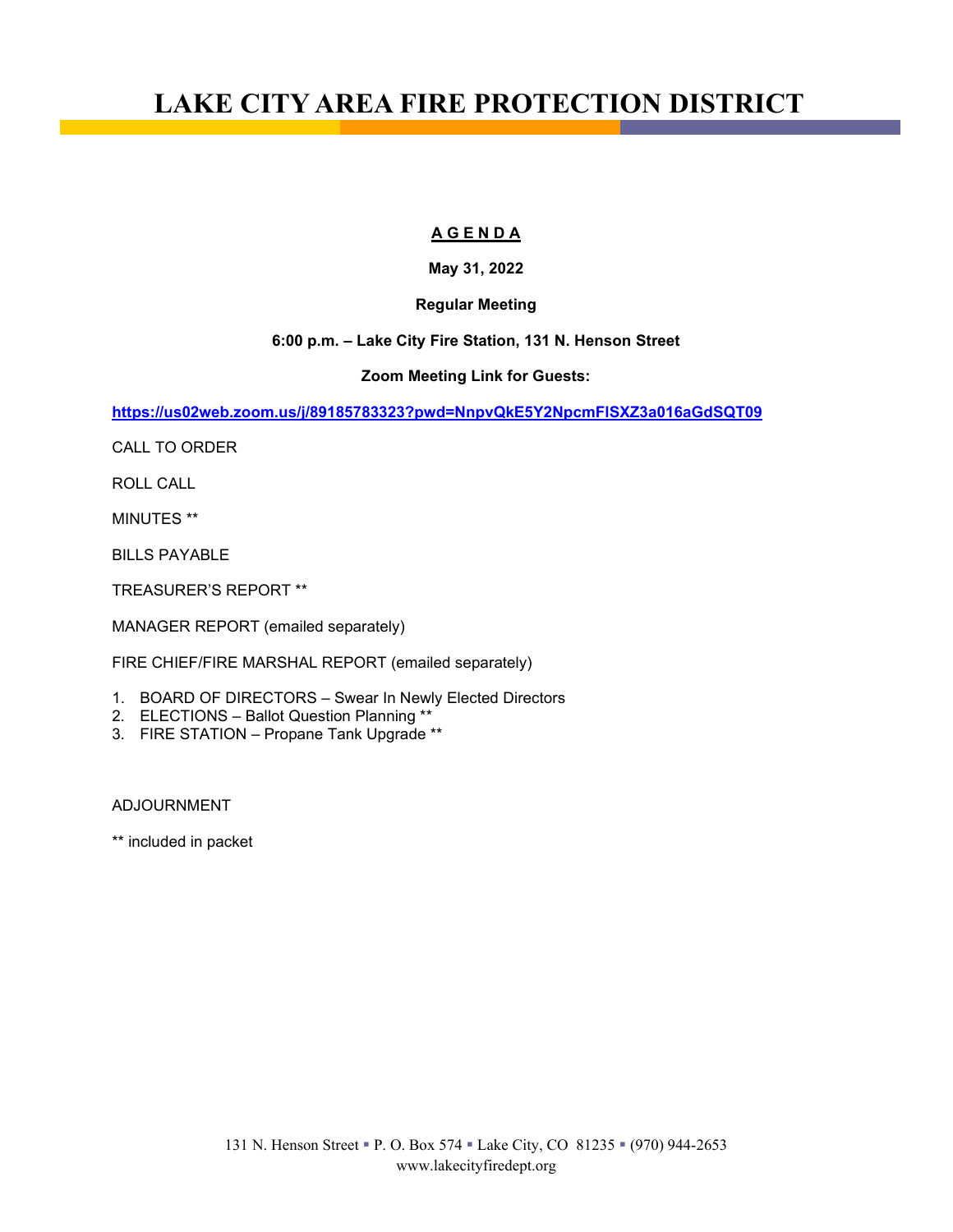# **LAKE CITY AREA FIRE PROTECTION DISTRICT**

#### **A G E N D A**

### **May 31, 2022**

#### **Regular Meeting**

#### **6:00 p.m. – Lake City Fire Station, 131 N. Henson Street**

#### **Zoom Meeting Link for Guests:**

**<https://us02web.zoom.us/j/89185783323?pwd=NnpvQkE5Y2NpcmFlSXZ3a016aGdSQT09>**

CALL TO ORDER

ROLL CALL

MINUTES \*\*

BILLS PAYABLE

TREASURER'S REPORT \*\*

MANAGER REPORT (emailed separately)

FIRE CHIEF/FIRE MARSHAL REPORT (emailed separately)

- 1. BOARD OF DIRECTORS Swear In Newly Elected Directors
- 2. ELECTIONS Ballot Question Planning \*\*
- 3. FIRE STATION Propane Tank Upgrade \*\*

ADJOURNMENT

\*\* included in packet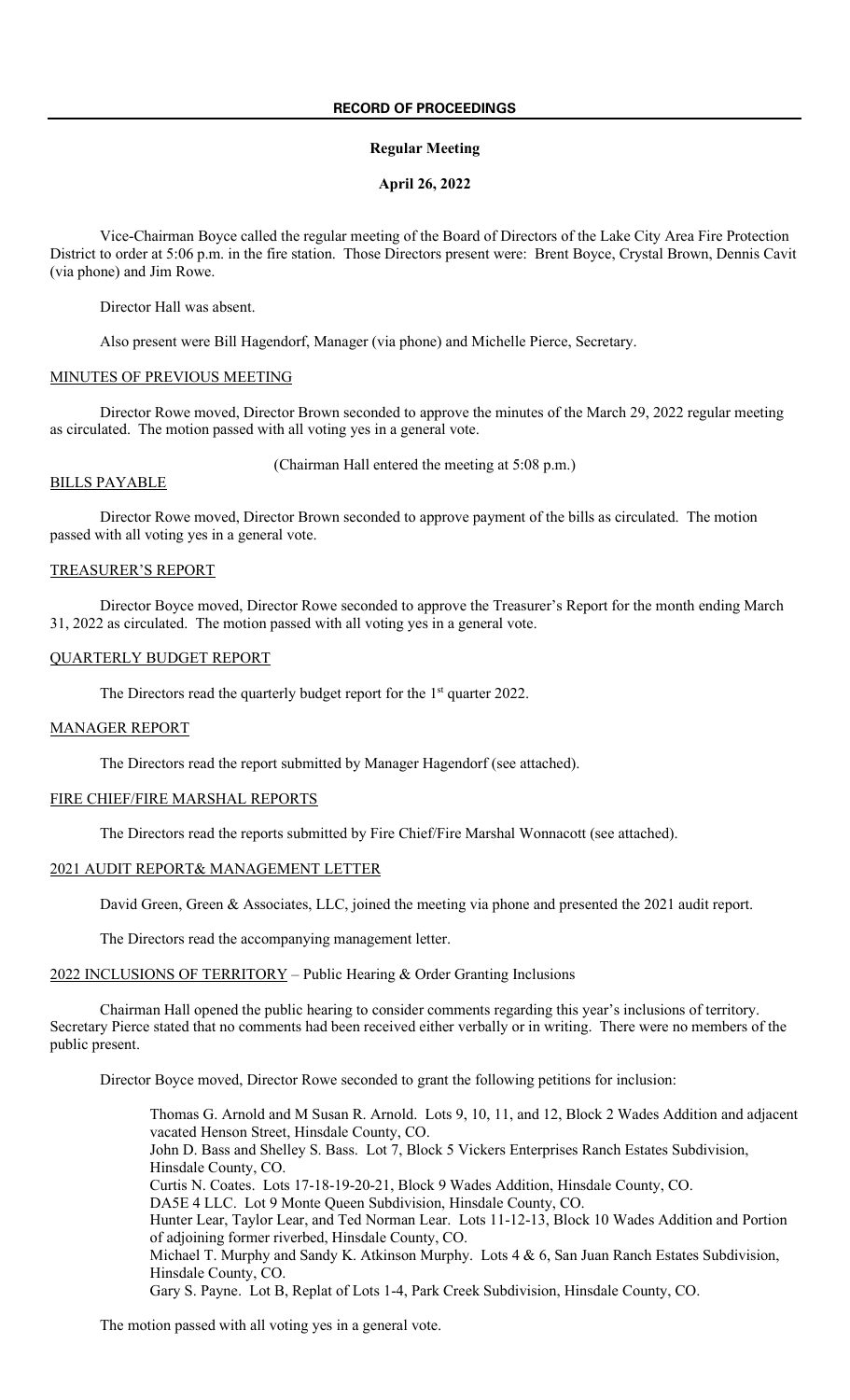#### **Regular Meeting**

#### **April 26, 2022**

Vice-Chairman Boyce called the regular meeting of the Board of Directors of the Lake City Area Fire Protection District to order at 5:06 p.m. in the fire station. Those Directors present were: Brent Boyce, Crystal Brown, Dennis Cavit (via phone) and Jim Rowe.

Director Hall was absent.

Also present were Bill Hagendorf, Manager (via phone) and Michelle Pierce, Secretary.

#### MINUTES OF PREVIOUS MEETING

Director Rowe moved, Director Brown seconded to approve the minutes of the March 29, 2022 regular meeting as circulated. The motion passed with all voting yes in a general vote.

(Chairman Hall entered the meeting at 5:08 p.m.)

#### BILLS PAYABLE

Director Rowe moved, Director Brown seconded to approve payment of the bills as circulated. The motion passed with all voting yes in a general vote.

#### TREASURER'S REPORT

Director Boyce moved, Director Rowe seconded to approve the Treasurer's Report for the month ending March 31, 2022 as circulated. The motion passed with all voting yes in a general vote.

#### QUARTERLY BUDGET REPORT

The Directors read the quarterly budget report for the 1<sup>st</sup> quarter 2022.

#### MANAGER REPORT

The Directors read the report submitted by Manager Hagendorf (see attached).

#### FIRE CHIEF/FIRE MARSHAL REPORTS

The Directors read the reports submitted by Fire Chief/Fire Marshal Wonnacott (see attached).

#### 2021 AUDIT REPORT& MANAGEMENT LETTER

David Green, Green & Associates, LLC, joined the meeting via phone and presented the 2021 audit report.

The Directors read the accompanying management letter.

2022 INCLUSIONS OF TERRITORY - Public Hearing & Order Granting Inclusions

Chairman Hall opened the public hearing to consider comments regarding this year's inclusions of territory. Secretary Pierce stated that no comments had been received either verbally or in writing. There were no members of the public present.

Director Boyce moved, Director Rowe seconded to grant the following petitions for inclusion:

Thomas G. Arnold and M Susan R. Arnold. Lots 9, 10, 11, and 12, Block 2 Wades Addition and adjacent vacated Henson Street, Hinsdale County, CO. John D. Bass and Shelley S. Bass. Lot 7, Block 5 Vickers Enterprises Ranch Estates Subdivision, Hinsdale County, CO. Curtis N. Coates. Lots 17-18-19-20-21, Block 9 Wades Addition, Hinsdale County, CO. DA5E 4 LLC. Lot 9 Monte Queen Subdivision, Hinsdale County, CO. Hunter Lear, Taylor Lear, and Ted Norman Lear. Lots 11-12-13, Block 10 Wades Addition and Portion of adjoining former riverbed, Hinsdale County, CO. Michael T. Murphy and Sandy K. Atkinson Murphy. Lots 4 & 6, San Juan Ranch Estates Subdivision, Hinsdale County, CO. Gary S. Payne. Lot B, Replat of Lots 1-4, Park Creek Subdivision, Hinsdale County, CO.

The motion passed with all voting yes in a general vote.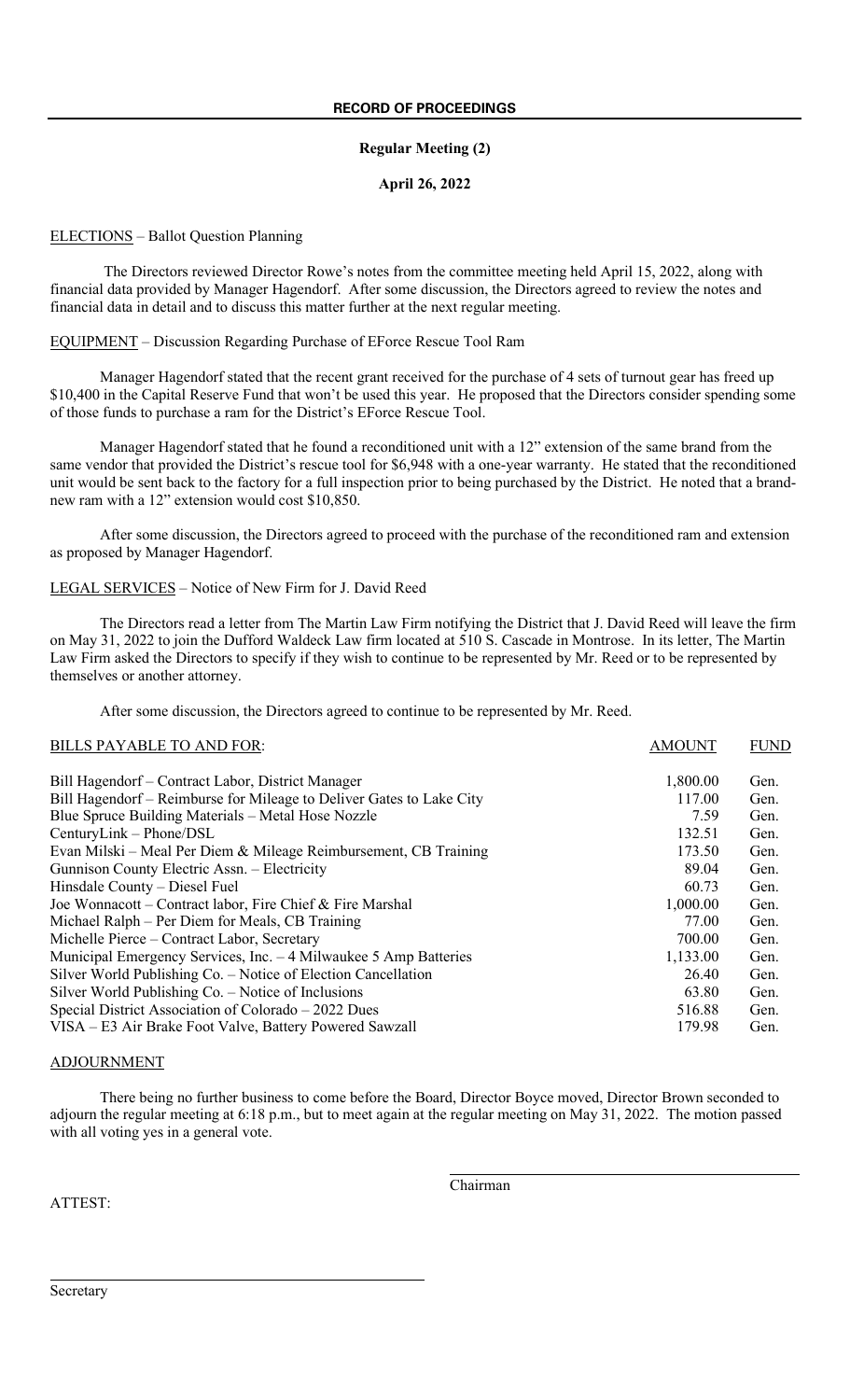#### **Regular Meeting (2)**

#### **April 26, 2022**

#### ELECTIONS – Ballot Question Planning

The Directors reviewed Director Rowe's notes from the committee meeting held April 15, 2022, along with financial data provided by Manager Hagendorf. After some discussion, the Directors agreed to review the notes and financial data in detail and to discuss this matter further at the next regular meeting.

EQUIPMENT – Discussion Regarding Purchase of EForce Rescue Tool Ram

Manager Hagendorf stated that the recent grant received for the purchase of 4 sets of turnout gear has freed up \$10,400 in the Capital Reserve Fund that won't be used this year. He proposed that the Directors consider spending some of those funds to purchase a ram for the District's EForce Rescue Tool.

Manager Hagendorf stated that he found a reconditioned unit with a 12" extension of the same brand from the same vendor that provided the District's rescue tool for \$6,948 with a one-year warranty. He stated that the reconditioned unit would be sent back to the factory for a full inspection prior to being purchased by the District. He noted that a brandnew ram with a 12" extension would cost \$10,850.

After some discussion, the Directors agreed to proceed with the purchase of the reconditioned ram and extension as proposed by Manager Hagendorf.

#### LEGAL SERVICES – Notice of New Firm for J. David Reed

The Directors read a letter from The Martin Law Firm notifying the District that J. David Reed will leave the firm on May 31, 2022 to join the Dufford Waldeck Law firm located at 510 S. Cascade in Montrose. In its letter, The Martin Law Firm asked the Directors to specify if they wish to continue to be represented by Mr. Reed or to be represented by themselves or another attorney.

After some discussion, the Directors agreed to continue to be represented by Mr. Reed.

#### BILLS PAYABLE TO AND FOR: AMOUNT FUND

| Bill Hagendorf – Contract Labor, District Manager                    | 1,800.00 | Gen. |
|----------------------------------------------------------------------|----------|------|
| Bill Hagendorf – Reimburse for Mileage to Deliver Gates to Lake City | 117.00   | Gen. |
| Blue Spruce Building Materials – Metal Hose Nozzle                   | 7.59     | Gen. |
| CenturyLink - Phone/DSL                                              | 132.51   | Gen. |
| Evan Milski – Meal Per Diem & Mileage Reimbursement, CB Training     | 173.50   | Gen. |
| Gunnison County Electric Assn. - Electricity                         | 89.04    | Gen. |
| Hinsdale County – Diesel Fuel                                        | 60.73    | Gen. |
| Joe Wonnacott – Contract labor, Fire Chief & Fire Marshal            | 1,000.00 | Gen. |
| Michael Ralph – Per Diem for Meals, CB Training                      | 77.00    | Gen. |
| Michelle Pierce – Contract Labor, Secretary                          | 700.00   | Gen. |
| Municipal Emergency Services, Inc. – 4 Milwaukee 5 Amp Batteries     | 1,133.00 | Gen. |
| Silver World Publishing Co. – Notice of Election Cancellation        | 26.40    | Gen. |
| Silver World Publishing Co. – Notice of Inclusions                   | 63.80    | Gen. |
| Special District Association of Colorado – 2022 Dues                 | 516.88   | Gen. |
| VISA – E3 Air Brake Foot Valve, Battery Powered Sawzall              | 179.98   | Gen. |

#### ADJOURNMENT

There being no further business to come before the Board, Director Boyce moved, Director Brown seconded to adjourn the regular meeting at 6:18 p.m., but to meet again at the regular meeting on May 31, 2022. The motion passed with all voting yes in a general vote.

Chairman

ATTEST: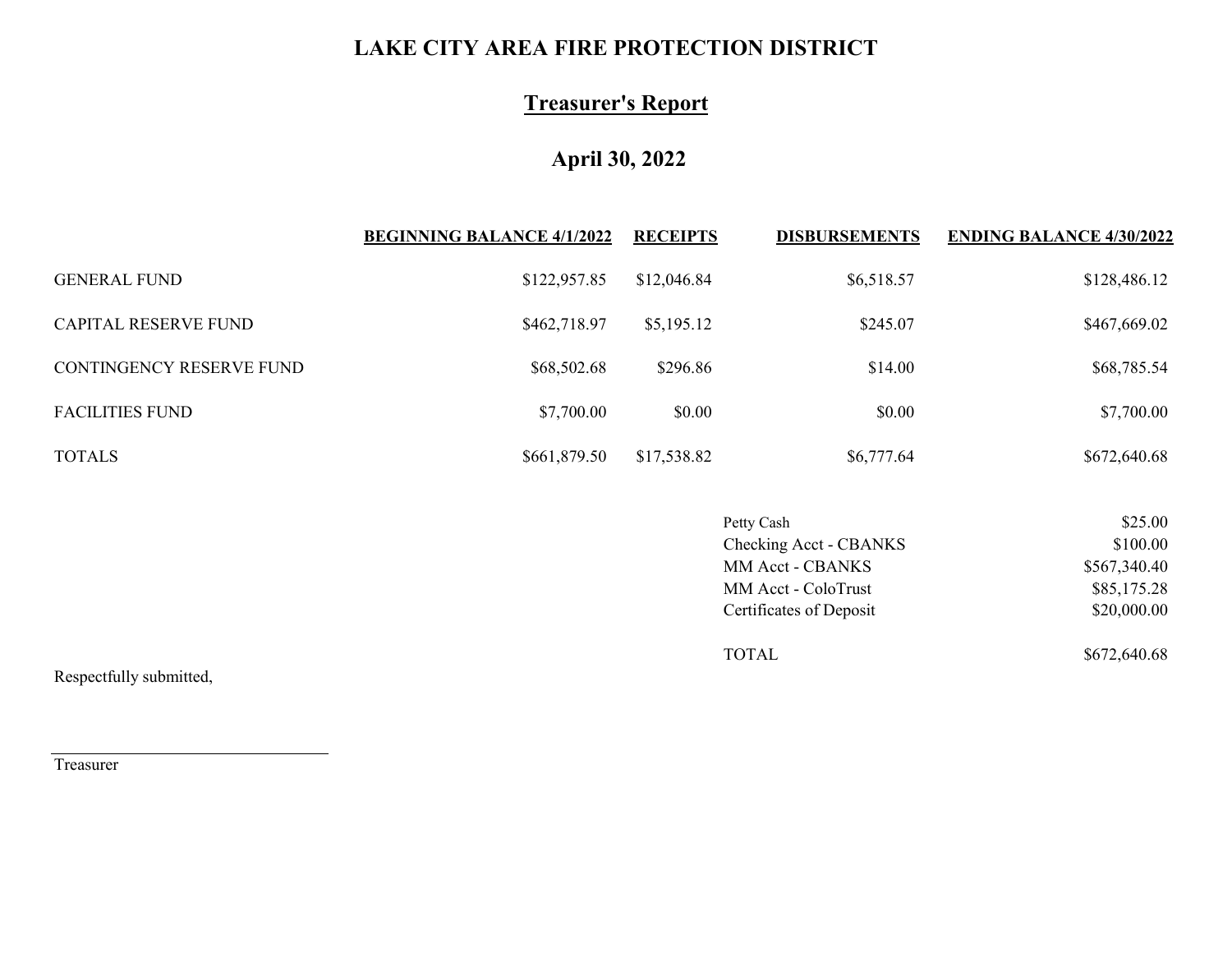## **LAKE CITY AREA FIRE PROTECTION DISTRICT**

## **Treasurer's Report**

## **April 30, 2022**

|                          | <b>BEGINNING BALANCE 4/1/2022</b> | <b>RECEIPTS</b> | <b>DISBURSEMENTS</b> | <b>ENDING BALANCE 4/30/2022</b> |
|--------------------------|-----------------------------------|-----------------|----------------------|---------------------------------|
| <b>GENERAL FUND</b>      | \$122,957.85                      | \$12,046.84     | \$6,518.57           | \$128,486.12                    |
| CAPITAL RESERVE FUND     | \$462,718.97                      | \$5,195.12      | \$245.07             | \$467,669.02                    |
| CONTINGENCY RESERVE FUND | \$68,502.68                       | \$296.86        | \$14.00              | \$68,785.54                     |
| <b>FACILITIES FUND</b>   | \$7,700.00                        | \$0.00          | \$0.00               | \$7,700.00                      |
| <b>TOTALS</b>            | \$661,879.50                      | \$17,538.82     | \$6,777.64           | \$672,640.68                    |

| Petty Cash              | \$25.00      |
|-------------------------|--------------|
| Checking Acct - CBANKS  | \$100.00     |
| MM Acct - CBANKS        | \$567,340.40 |
| MM Acct - ColoTrust     | \$85,175.28  |
| Certificates of Deposit | \$20,000.00  |
| TOTAL.                  | \$672,640.68 |

Respectfully submitted,

Treasurer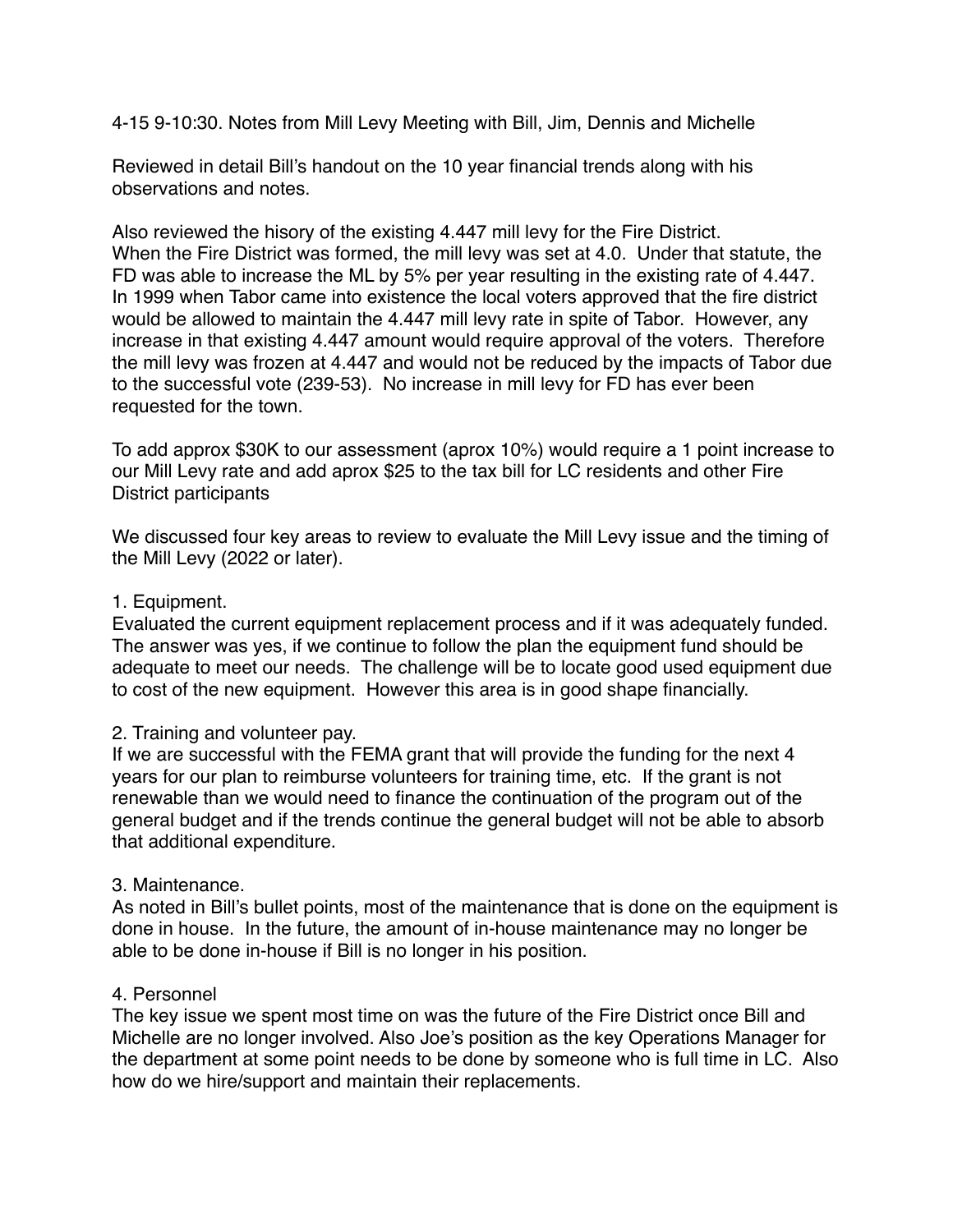4-15 9-10:30. Notes from Mill Levy Meeting with Bill, Jim, Dennis and Michelle

Reviewed in detail Bill's handout on the 10 year financial trends along with his observations and notes.

Also reviewed the hisory of the existing 4.447 mill levy for the Fire District. When the Fire District was formed, the mill levy was set at 4.0. Under that statute, the FD was able to increase the ML by 5% per year resulting in the existing rate of 4.447. In 1999 when Tabor came into existence the local voters approved that the fire district would be allowed to maintain the 4.447 mill levy rate in spite of Tabor. However, any increase in that existing 4.447 amount would require approval of the voters. Therefore the mill levy was frozen at 4.447 and would not be reduced by the impacts of Tabor due to the successful vote (239-53). No increase in mill levy for FD has ever been requested for the town.

To add approx \$30K to our assessment (aprox 10%) would require a 1 point increase to our Mill Levy rate and add aprox \$25 to the tax bill for LC residents and other Fire District participants

We discussed four key areas to review to evaluate the Mill Levy issue and the timing of the Mill Levy (2022 or later).

## 1. Equipment.

Evaluated the current equipment replacement process and if it was adequately funded. The answer was yes, if we continue to follow the plan the equipment fund should be adequate to meet our needs. The challenge will be to locate good used equipment due to cost of the new equipment. However this area is in good shape financially.

## 2. Training and volunteer pay.

If we are successful with the FEMA grant that will provide the funding for the next 4 years for our plan to reimburse volunteers for training time, etc. If the grant is not renewable than we would need to finance the continuation of the program out of the general budget and if the trends continue the general budget will not be able to absorb that additional expenditure.

## 3. Maintenance.

As noted in Bill's bullet points, most of the maintenance that is done on the equipment is done in house. In the future, the amount of in-house maintenance may no longer be able to be done in-house if Bill is no longer in his position.

### 4. Personnel

The key issue we spent most time on was the future of the Fire District once Bill and Michelle are no longer involved. Also Joe's position as the key Operations Manager for the department at some point needs to be done by someone who is full time in LC. Also how do we hire/support and maintain their replacements.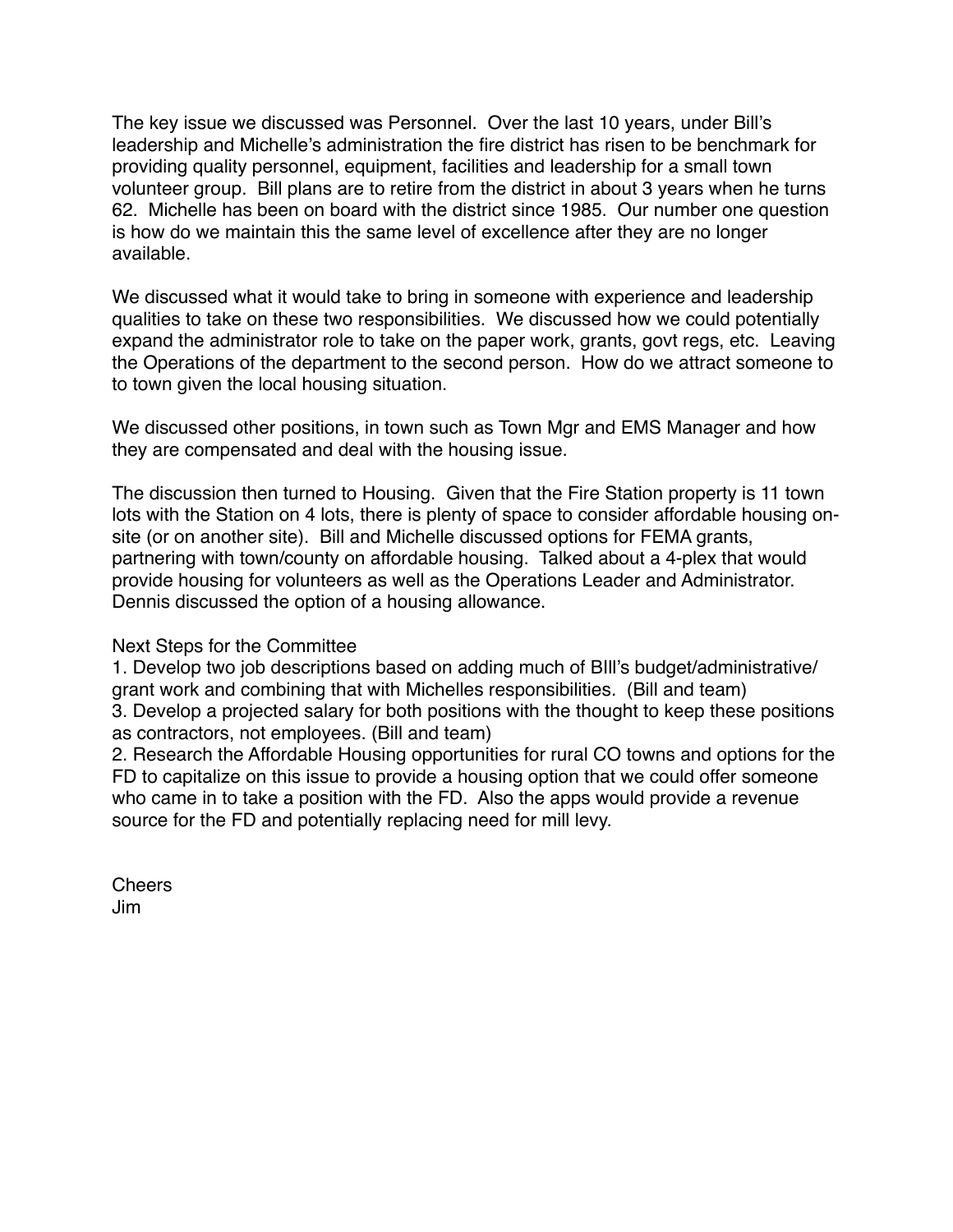The key issue we discussed was Personnel. Over the last 10 years, under Bill's leadership and Michelle's administration the fire district has risen to be benchmark for providing quality personnel, equipment, facilities and leadership for a small town volunteer group. Bill plans are to retire from the district in about 3 years when he turns 62. Michelle has been on board with the district since 1985. Our number one question is how do we maintain this the same level of excellence after they are no longer available.

We discussed what it would take to bring in someone with experience and leadership qualities to take on these two responsibilities. We discussed how we could potentially expand the administrator role to take on the paper work, grants, govt regs, etc. Leaving the Operations of the department to the second person. How do we attract someone to to town given the local housing situation.

We discussed other positions, in town such as Town Mgr and EMS Manager and how they are compensated and deal with the housing issue.

The discussion then turned to Housing. Given that the Fire Station property is 11 town lots with the Station on 4 lots, there is plenty of space to consider affordable housing onsite (or on another site). Bill and Michelle discussed options for FEMA grants, partnering with town/county on affordable housing. Talked about a 4-plex that would provide housing for volunteers as well as the Operations Leader and Administrator. Dennis discussed the option of a housing allowance.

Next Steps for the Committee

1. Develop two job descriptions based on adding much of BIll's budget/administrative/ grant work and combining that with Michelles responsibilities. (Bill and team) 3. Develop a projected salary for both positions with the thought to keep these positions as contractors, not employees. (Bill and team)

2. Research the Affordable Housing opportunities for rural CO towns and options for the FD to capitalize on this issue to provide a housing option that we could offer someone who came in to take a position with the FD. Also the apps would provide a revenue source for the FD and potentially replacing need for mill levy.

**Cheers** Jim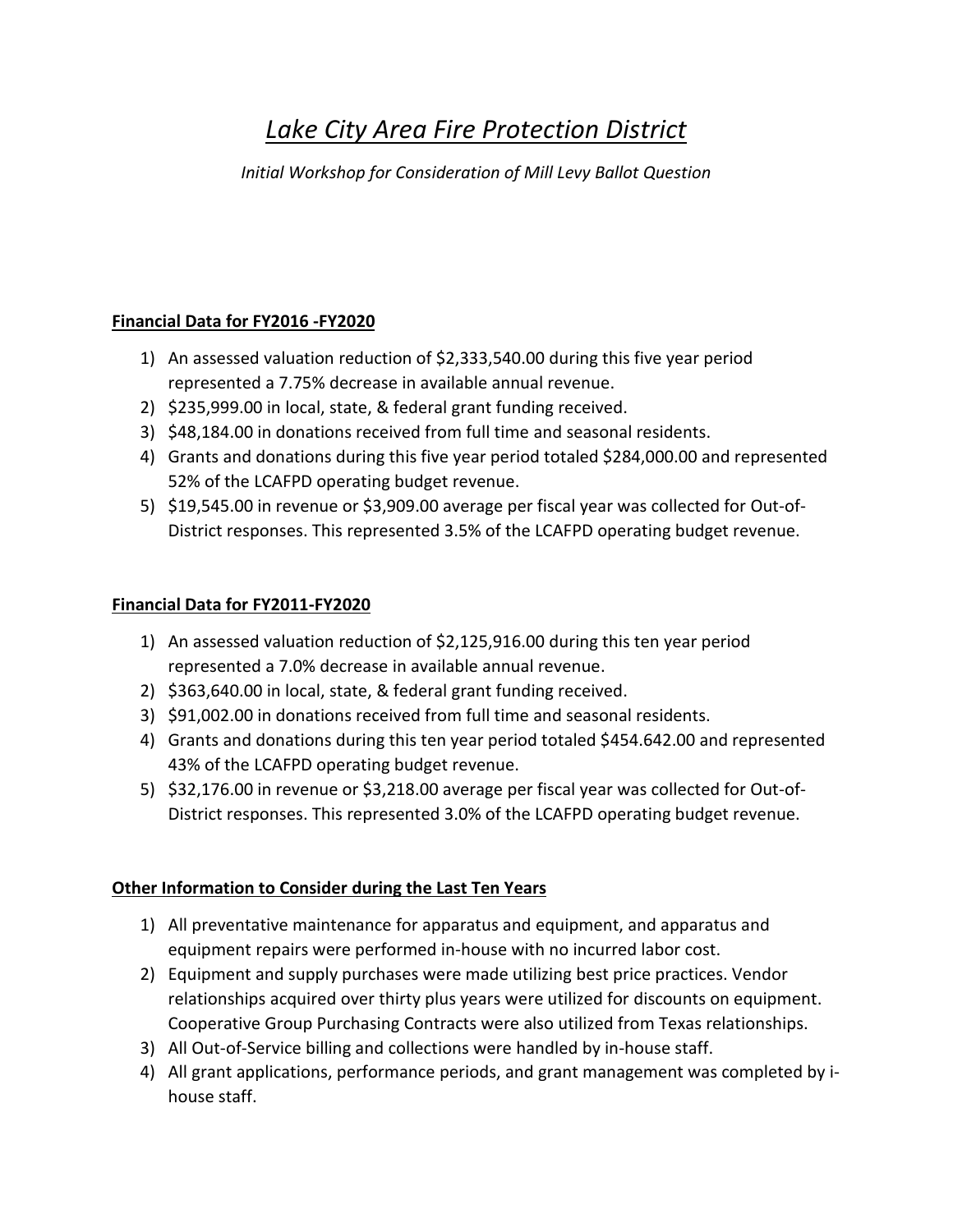# *Lake City Area Fire Protection District*

*Initial Workshop for Consideration of Mill Levy Ballot Question*

## **Financial Data for FY2016 -FY2020**

- 1) An assessed valuation reduction of \$2,333,540.00 during this five year period represented a 7.75% decrease in available annual revenue.
- 2) \$235,999.00 in local, state, & federal grant funding received.
- 3) \$48,184.00 in donations received from full time and seasonal residents.
- 4) Grants and donations during this five year period totaled \$284,000.00 and represented 52% of the LCAFPD operating budget revenue.
- 5) \$19,545.00 in revenue or \$3,909.00 average per fiscal year was collected for Out-of-District responses. This represented 3.5% of the LCAFPD operating budget revenue.

## **Financial Data for FY2011-FY2020**

- 1) An assessed valuation reduction of \$2,125,916.00 during this ten year period represented a 7.0% decrease in available annual revenue.
- 2) \$363,640.00 in local, state, & federal grant funding received.
- 3) \$91,002.00 in donations received from full time and seasonal residents.
- 4) Grants and donations during this ten year period totaled \$454.642.00 and represented 43% of the LCAFPD operating budget revenue.
- 5) \$32,176.00 in revenue or \$3,218.00 average per fiscal year was collected for Out-of-District responses. This represented 3.0% of the LCAFPD operating budget revenue.

## **Other Information to Consider during the Last Ten Years**

- 1) All preventative maintenance for apparatus and equipment, and apparatus and equipment repairs were performed in-house with no incurred labor cost.
- 2) Equipment and supply purchases were made utilizing best price practices. Vendor relationships acquired over thirty plus years were utilized for discounts on equipment. Cooperative Group Purchasing Contracts were also utilized from Texas relationships.
- 3) All Out-of-Service billing and collections were handled by in-house staff.
- 4) All grant applications, performance periods, and grant management was completed by ihouse staff.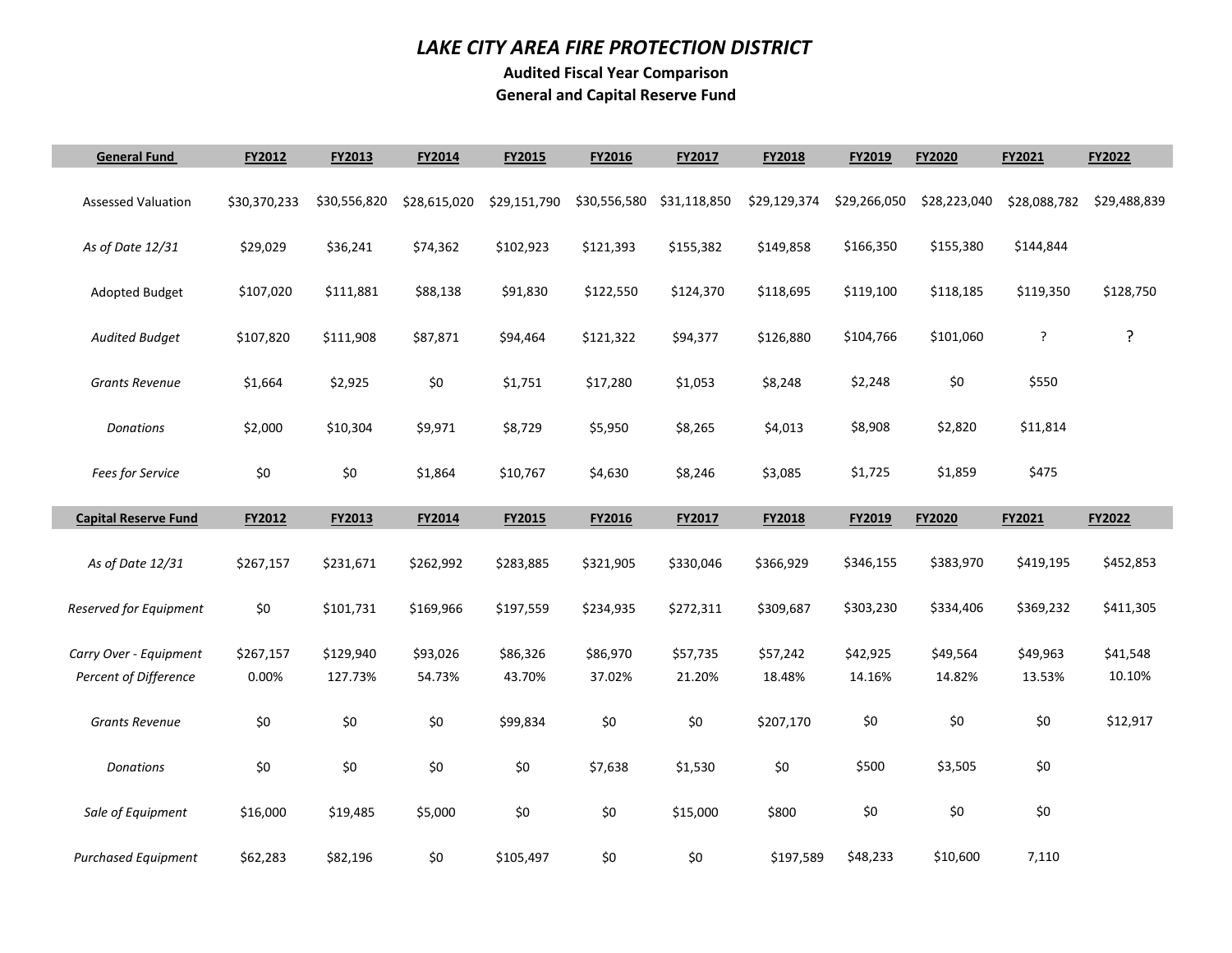### *LAKE CITY AREA FIRE PROTECTION DISTRICT*

**Audited Fiscal Year Comparison General and Capital Reserve Fund** 

П

Г

| <b>General Fund</b>          | FY2012       | FY2013       | FY2014       | FY2015       | FY2016       | FY2017       | FY2018       | FY2019       | FY2020        | FY2021       | FY2022       |
|------------------------------|--------------|--------------|--------------|--------------|--------------|--------------|--------------|--------------|---------------|--------------|--------------|
| <b>Assessed Valuation</b>    | \$30,370,233 | \$30,556,820 | \$28,615,020 | \$29,151,790 | \$30,556,580 | \$31,118,850 | \$29,129,374 | \$29,266,050 | \$28,223,040  | \$28,088,782 | \$29,488,839 |
| As of Date 12/31             | \$29,029     | \$36,241     | \$74,362     | \$102,923    | \$121,393    | \$155,382    | \$149,858    | \$166,350    | \$155,380     | \$144,844    |              |
| <b>Adopted Budget</b>        | \$107,020    | \$111,881    | \$88,138     | \$91,830     | \$122,550    | \$124,370    | \$118,695    | \$119,100    | \$118,185     | \$119,350    | \$128,750    |
| <b>Audited Budget</b>        | \$107,820    | \$111,908    | \$87,871     | \$94,464     | \$121,322    | \$94,377     | \$126,880    | \$104,766    | \$101,060     | ?            | ?            |
| <b>Grants Revenue</b>        | \$1,664      | \$2,925      | \$0          | \$1,751      | \$17,280     | \$1,053      | \$8,248      | \$2,248      | \$0           | \$550        |              |
| Donations                    | \$2,000      | \$10,304     | \$9,971      | \$8,729      | \$5,950      | \$8,265      | \$4,013      | \$8,908      | \$2,820       | \$11,814     |              |
| Fees for Service             | \$0          | \$0          | \$1,864      | \$10,767     | \$4,630      | \$8,246      | \$3,085      | \$1,725      | \$1,859       | \$475        |              |
| <b>Capital Reserve Fund</b>  | FY2012       | FY2013       | FY2014       | FY2015       | FY2016       | FY2017       | FY2018       | FY2019       | <b>FY2020</b> | FY2021       | FY2022       |
| As of Date 12/31             | \$267,157    | \$231,671    | \$262,992    | \$283,885    | \$321,905    | \$330,046    | \$366,929    | \$346,155    | \$383,970     | \$419,195    | \$452,853    |
| Reserved for Equipment       | $$0$$        | \$101,731    | \$169,966    | \$197,559    | \$234,935    | \$272,311    | \$309,687    | \$303,230    | \$334,406     | \$369,232    | \$411,305    |
| Carry Over - Equipment       | \$267,157    | \$129,940    | \$93,026     | \$86,326     | \$86,970     | \$57,735     | \$57,242     | \$42,925     | \$49,564      | \$49,963     | \$41,548     |
| <b>Percent of Difference</b> | 0.00%        | 127.73%      | 54.73%       | 43.70%       | 37.02%       | 21.20%       | 18.48%       | 14.16%       | 14.82%        | 13.53%       | 10.10%       |
| <b>Grants Revenue</b>        | \$0          | \$0          | \$0          | \$99,834     | \$0          | \$0          | \$207,170    | \$0          | \$0           | \$0          | \$12,917     |
| Donations                    | $$0$$        | \$0          | \$0          | \$0          | \$7,638      | \$1,530      | \$0          | \$500        | \$3,505       | \$0          |              |
| Sale of Equipment            | \$16,000     | \$19,485     | \$5,000      | \$0          | $$0$$        | \$15,000     | \$800        | \$0          | \$0           | \$0          |              |
| <b>Purchased Equipment</b>   | \$62,283     | \$82,196     | \$0          | \$105,497    | \$0          | \$0          | \$197,589    | \$48,233     | \$10,600      | 7,110        |              |